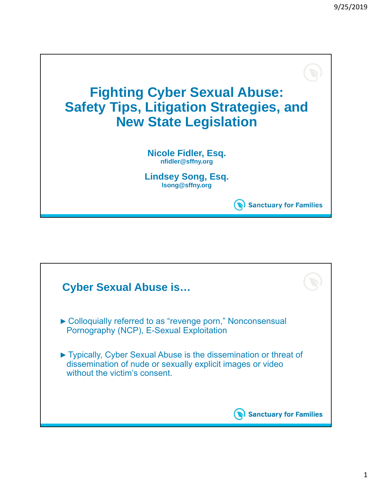

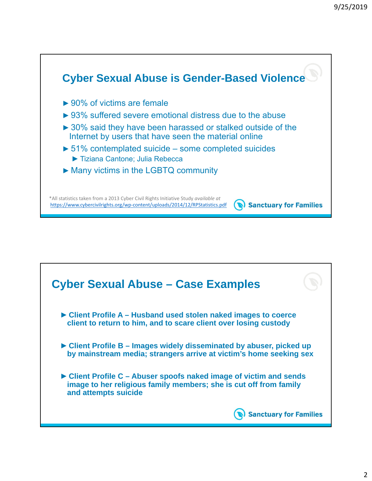

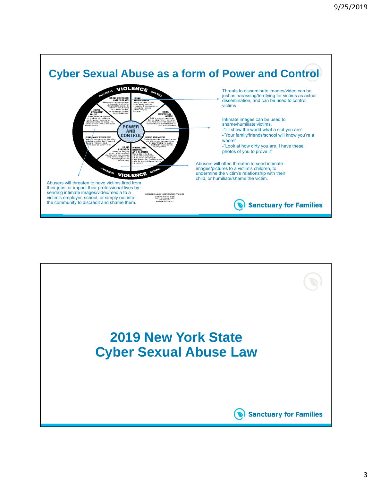

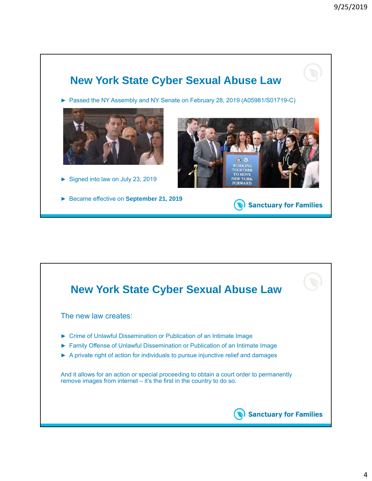

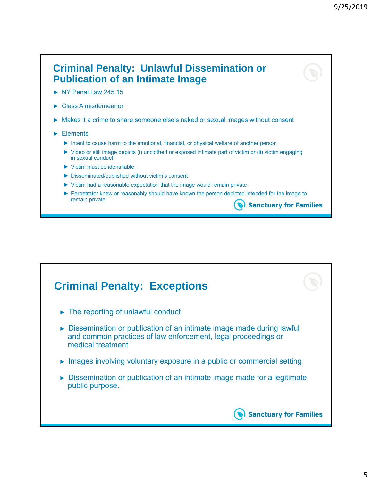

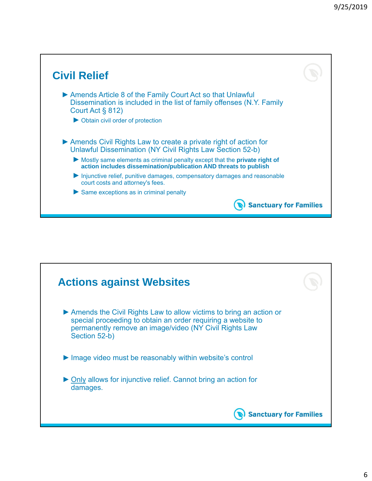

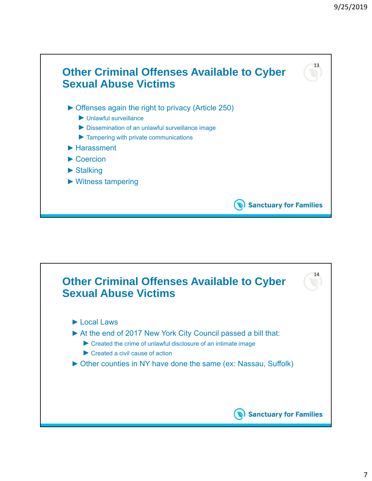

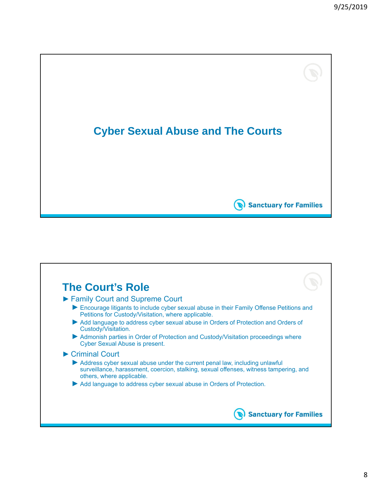

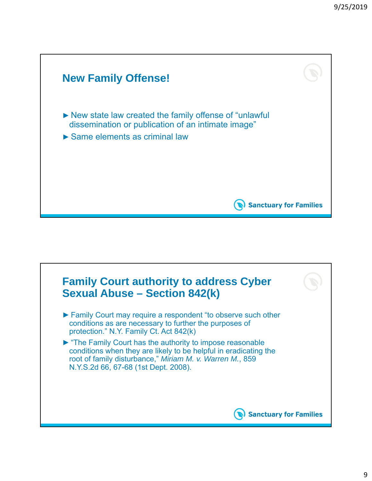

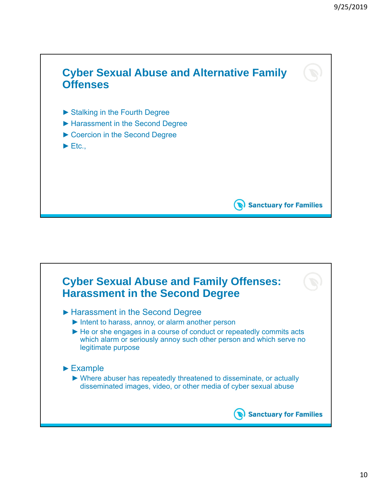

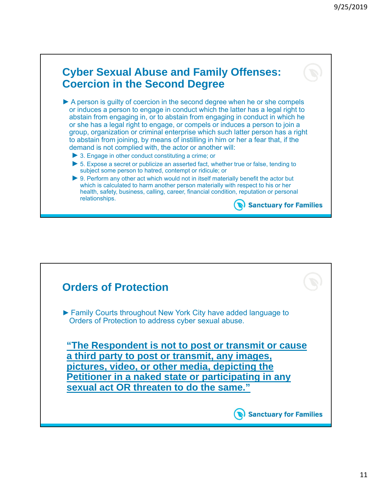## **Cyber Sexual Abuse and Family Offenses: Coercion in the Second Degree** ► A person is guilty of coercion in the second degree when he or she compels or induces a person to engage in conduct which the latter has a legal right to abstain from engaging in, or to abstain from engaging in conduct in which he or she has a legal right to engage, or compels or induces a person to join a group, organization or criminal enterprise which such latter person has a right to abstain from joining, by means of instilling in him or her a fear that, if the demand is not complied with, the actor or another will: ► 3. Engage in other conduct constituting a crime; or ► 5. Expose a secret or publicize an asserted fact, whether true or false, tending to subject some person to hatred, contempt or ridicule; or ► 9. Perform any other act which would not in itself materially benefit the actor but which is calculated to harm another person materially with respect to his or her health, safety, business, calling, career, financial condition, reputation or personal relationships. Sanctuary for Families

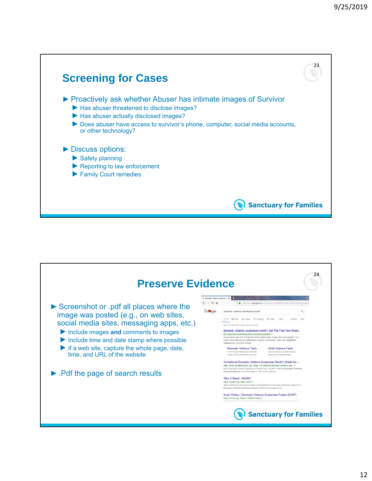

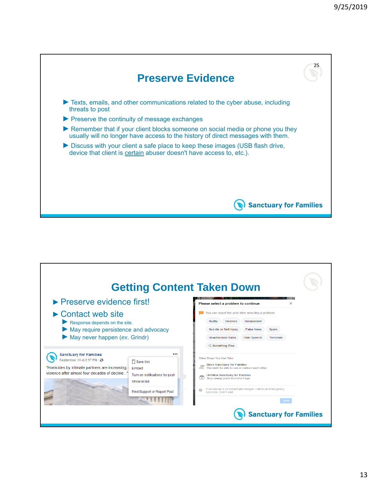

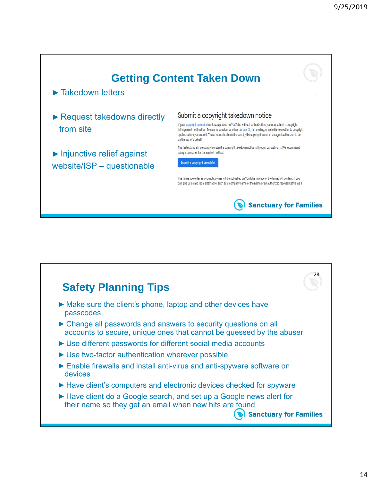

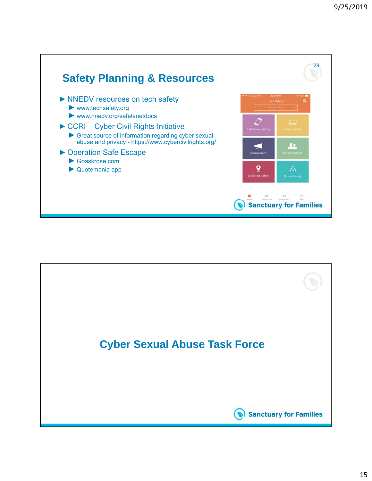